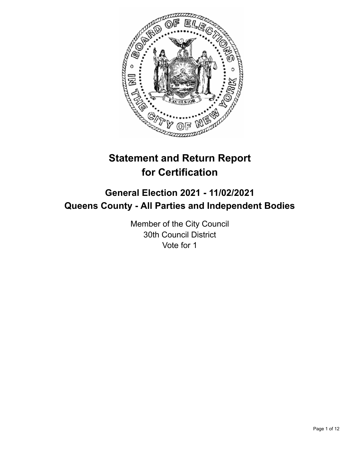

# **Statement and Return Report for Certification**

## **General Election 2021 - 11/02/2021 Queens County - All Parties and Independent Bodies**

Member of the City Council 30th Council District Vote for 1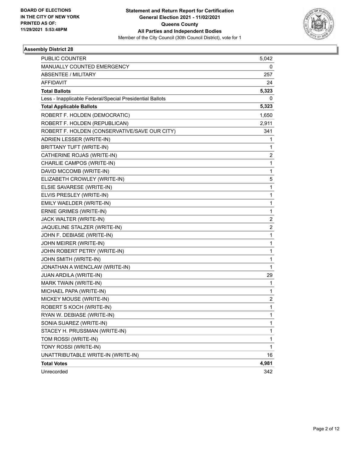

| PUBLIC COUNTER                                           | 5,042                   |
|----------------------------------------------------------|-------------------------|
| MANUALLY COUNTED EMERGENCY                               | 0                       |
| <b>ABSENTEE / MILITARY</b>                               | 257                     |
| <b>AFFIDAVIT</b>                                         | 24                      |
| <b>Total Ballots</b>                                     | 5,323                   |
| Less - Inapplicable Federal/Special Presidential Ballots | 0                       |
| <b>Total Applicable Ballots</b>                          | 5,323                   |
| ROBERT F. HOLDEN (DEMOCRATIC)                            | 1,650                   |
| ROBERT F. HOLDEN (REPUBLICAN)                            | 2,911                   |
| ROBERT F. HOLDEN (CONSERVATIVE/SAVE OUR CITY)            | 341                     |
| ADRIEN LESSER (WRITE-IN)                                 | 1                       |
| BRITTANY TUFT (WRITE-IN)                                 | 1                       |
| CATHERINE ROJAS (WRITE-IN)                               | $\overline{\mathbf{c}}$ |
| CHARLIE CAMPOS (WRITE-IN)                                | $\mathbf{1}$            |
| DAVID MCCOMB (WRITE-IN)                                  | 1                       |
| ELIZABETH CROWLEY (WRITE-IN)                             | 5                       |
| ELSIE SAVARESE (WRITE-IN)                                | $\mathbf{1}$            |
| ELVIS PRESLEY (WRITE-IN)                                 | 1                       |
| EMILY WAELDER (WRITE-IN)                                 | 1                       |
| ERNIE GRIMES (WRITE-IN)                                  | $\mathbf{1}$            |
| JACK WALTER (WRITE-IN)                                   | 2                       |
| JAQUELINE STALZER (WRITE-IN)                             | $\overline{\mathbf{c}}$ |
| JOHN F. DEBIASE (WRITE-IN)                               | $\mathbf{1}$            |
| JOHN MEIRER (WRITE-IN)                                   | 1                       |
| JOHN ROBERT PETRY (WRITE-IN)                             | 1                       |
| JOHN SMITH (WRITE-IN)                                    | 1                       |
| JONATHAN A WIENCLAW (WRITE-IN)                           | 1                       |
| JUAN ARDILA (WRITE-IN)                                   | 29                      |
| MARK TWAIN (WRITE-IN)                                    | 1                       |
| MICHAEL PAPA (WRITE-IN)                                  | 1                       |
| MICKEY MOUSE (WRITE-IN)                                  | $\overline{\mathbf{c}}$ |
| ROBERT S KOCH (WRITE-IN)                                 | 1                       |
| RYAN W. DEBIASE (WRITE-IN)                               | 1                       |
| SONIA SUAREZ (WRITE-IN)                                  | $\mathbf{1}$            |
| STACEY H. PRUSSMAN (WRITE-IN)                            | 1                       |
| TOM ROSSI (WRITE-IN)                                     | 1                       |
| TONY ROSSI (WRITE-IN)                                    | $\mathbf{1}$            |
| UNATTRIBUTABLE WRITE-IN (WRITE-IN)                       | 16                      |
| <b>Total Votes</b>                                       | 4,981                   |
| Unrecorded                                               | 342                     |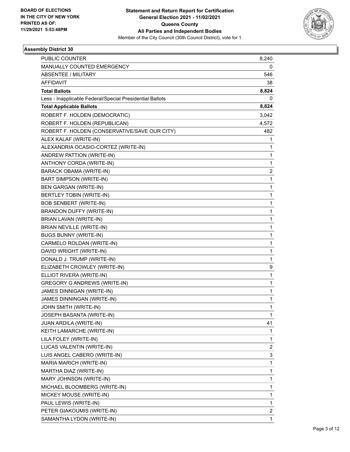

| <b>PUBLIC COUNTER</b>                                    | 8,240                   |
|----------------------------------------------------------|-------------------------|
| MANUALLY COUNTED EMERGENCY                               | 0                       |
| <b>ABSENTEE / MILITARY</b>                               | 546                     |
| <b>AFFIDAVIT</b>                                         | 38                      |
| <b>Total Ballots</b>                                     | 8,824                   |
| Less - Inapplicable Federal/Special Presidential Ballots | 0                       |
| <b>Total Applicable Ballots</b>                          | 8,824                   |
| ROBERT F. HOLDEN (DEMOCRATIC)                            | 3,042                   |
| ROBERT F. HOLDEN (REPUBLICAN)                            | 4,572                   |
| ROBERT F. HOLDEN (CONSERVATIVE/SAVE OUR CITY)            | 482                     |
| ALEX KALAF (WRITE-IN)                                    | 1                       |
| ALEXANDRIA OCASIO-CORTEZ (WRITE-IN)                      | 1                       |
| ANDREW PATTION (WRITE-IN)                                | $\mathbf{1}$            |
| ANTHONY CORDA (WRITE-IN)                                 | 1                       |
| <b>BARACK OBAMA (WRITE-IN)</b>                           | 2                       |
| BART SIMPSON (WRITE-IN)                                  | $\mathbf{1}$            |
| <b>BEN GARGAN (WRITE-IN)</b>                             | 1                       |
| <b>BERTLEY TOBIN (WRITE-IN)</b>                          | 1                       |
| <b>BOB SENBERT (WRITE-IN)</b>                            | $\mathbf{1}$            |
| BRANDON DUFFY (WRITE-IN)                                 | 1                       |
| BRIAN LAVAN (WRITE-IN)                                   | 1                       |
| BRIAN NEVILLE (WRITE-IN)                                 | 1                       |
| <b>BUGS BUNNY (WRITE-IN)</b>                             | 1                       |
| CARMELO ROLDAN (WRITE-IN)                                | 1                       |
| DAVID WRIGHT (WRITE-IN)                                  | $\mathbf 1$             |
| DONALD J. TRUMP (WRITE-IN)                               | 1                       |
| ELIZABETH CROWLEY (WRITE-IN)                             | 9                       |
| ELLIOT RIVERA (WRITE-IN)                                 | $\mathbf{1}$            |
| <b>GREGORY G ANDREWS (WRITE-IN)</b>                      | 1                       |
| JAMES DINNIGAN (WRITE-IN)                                | 1                       |
| JAMES DINNINGAN (WRITE-IN)                               | $\mathbf 1$             |
| JOHN SMITH (WRITE-IN)                                    | 1                       |
| JOSEPH BASANTA (WRITE-IN)                                | 1                       |
| JUAN ARDILA (WRITE-IN)                                   | 41                      |
| KEITH LAMARCHE (WRITE-IN)                                | 1                       |
| LILA FOLEY (WRITE-IN)                                    | 1                       |
| LUCAS VALENTIN (WRITE-IN)                                | $\overline{\mathbf{c}}$ |
| LUIS ANGEL CABERO (WRITE-IN)                             | 3                       |
| MARIA MARICH (WRITE-IN)                                  | $\mathbf{1}$            |
| MARTHA DIAZ (WRITE-IN)                                   | $\mathbf{1}$            |
| MARY JOHNSON (WRITE-IN)                                  | 1                       |
| MICHAEL BLOOMBERG (WRITE-IN)                             | $\mathbf 1$             |
| MICKEY MOUSE (WRITE-IN)                                  | $\mathbf 1$             |
| PAUL LEWIS (WRITE-IN)                                    | 1                       |
| PETER GIAKOUMIS (WRITE-IN)                               | 2                       |
| SAMANTHA LYDON (WRITE-IN)                                | $\mathbf{1}$            |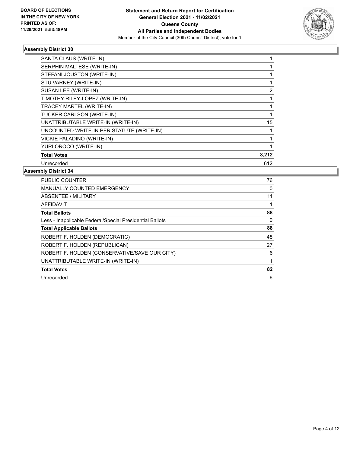

| SANTA CLAUS (WRITE-IN)                    |       |
|-------------------------------------------|-------|
| SERPHIN MALTESE (WRITE-IN)                |       |
| STEFANI JOUSTON (WRITE-IN)                |       |
| STU VARNEY (WRITE-IN)                     |       |
| SUSAN LEE (WRITE-IN)                      | 2     |
| TIMOTHY RILEY-LOPEZ (WRITE-IN)            |       |
| <b>TRACEY MARTEL (WRITE-IN)</b>           |       |
| TUCKER CARLSON (WRITE-IN)                 |       |
| UNATTRIBUTABLE WRITE-IN (WRITE-IN)        | 15    |
| UNCOUNTED WRITE-IN PER STATUTE (WRITE-IN) |       |
| VICKIE PALADINO (WRITE-IN)                |       |
| YURI OROCO (WRITE-IN)                     |       |
| <b>Total Votes</b>                        | 8,212 |
| Unrecorded                                | 612   |

| <b>PUBLIC COUNTER</b>                                    | 76 |
|----------------------------------------------------------|----|
| <b>MANUALLY COUNTED EMERGENCY</b>                        | 0  |
| ABSENTEE / MILITARY                                      | 11 |
| AFFIDAVIT                                                |    |
| <b>Total Ballots</b>                                     | 88 |
| Less - Inapplicable Federal/Special Presidential Ballots | 0  |
| <b>Total Applicable Ballots</b>                          | 88 |
| ROBERT F. HOLDEN (DEMOCRATIC)                            | 48 |
| ROBERT F. HOLDEN (REPUBLICAN)                            | 27 |
| ROBERT F. HOLDEN (CONSERVATIVE/SAVE OUR CITY)            | 6  |
| UNATTRIBUTABLE WRITE-IN (WRITE-IN)                       |    |
| <b>Total Votes</b>                                       | 82 |
| Unrecorded                                               | 6  |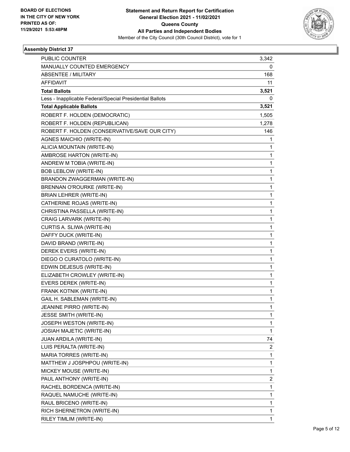

| <b>PUBLIC COUNTER</b>                                    | 3,342                   |
|----------------------------------------------------------|-------------------------|
| MANUALLY COUNTED EMERGENCY                               | 0                       |
| <b>ABSENTEE / MILITARY</b>                               | 168                     |
| <b>AFFIDAVIT</b>                                         | 11                      |
| <b>Total Ballots</b>                                     | 3,521                   |
| Less - Inapplicable Federal/Special Presidential Ballots | 0                       |
| <b>Total Applicable Ballots</b>                          | 3,521                   |
| ROBERT F. HOLDEN (DEMOCRATIC)                            | 1,505                   |
| ROBERT F. HOLDEN (REPUBLICAN)                            | 1,278                   |
| ROBERT F. HOLDEN (CONSERVATIVE/SAVE OUR CITY)            | 146                     |
| AGNES MAICHIO (WRITE-IN)                                 | 1                       |
| ALICIA MOUNTAIN (WRITE-IN)                               | 1                       |
| AMBROSE HARTON (WRITE-IN)                                | 1                       |
| ANDREW M TOBIA (WRITE-IN)                                | 1                       |
| <b>BOB LEBLOW (WRITE-IN)</b>                             | 1                       |
| BRANDON ZWAGGERMAN (WRITE-IN)                            | 1                       |
| BRENNAN O'ROURKE (WRITE-IN)                              | 1                       |
| <b>BRIAN LEHRER (WRITE-IN)</b>                           | 1                       |
| CATHERINE ROJAS (WRITE-IN)                               | $\mathbf{1}$            |
| CHRISTINA PASSELLA (WRITE-IN)                            | 1                       |
| CRAIG LARVARK (WRITE-IN)                                 | 1                       |
| CURTIS A. SLIWA (WRITE-IN)                               | 1                       |
| DAFFY DUCK (WRITE-IN)                                    | 1                       |
| DAVID BRAND (WRITE-IN)                                   | 1                       |
| DEREK EVERS (WRITE-IN)                                   | $\mathbf{1}$            |
| DIEGO O CURATOLO (WRITE-IN)                              | 1                       |
| EDWIN DEJESUS (WRITE-IN)                                 | 1                       |
| ELIZABETH CROWLEY (WRITE-IN)                             | 1                       |
| EVERS DEREK (WRITE-IN)                                   | 1                       |
| FRANK KOTNIK (WRITE-IN)                                  | 1                       |
| GAIL H. SABLEMAN (WRITE-IN)                              | 1                       |
| JEANINE PIRRO (WRITE-IN)                                 | 1                       |
| JESSE SMITH (WRITE-IN)                                   | 1                       |
| JOSEPH WESTON (WRITE-IN)                                 | 1                       |
| <b>JOSIAH MAJETIC (WRITE-IN)</b>                         | 1                       |
| <b>JUAN ARDILA (WRITE-IN)</b>                            | 74                      |
| LUIS PERALTA (WRITE-IN)                                  | 2                       |
| MARIA TORRES (WRITE-IN)                                  | 1                       |
| MATTHEW J JOSPHPOU (WRITE-IN)                            | 1                       |
| MICKEY MOUSE (WRITE-IN)                                  | $\mathbf{1}$            |
| PAUL ANTHONY (WRITE-IN)                                  | $\overline{\mathbf{c}}$ |
| RACHEL BORDENCA (WRITE-IN)                               | $\mathbf{1}$            |
| RAQUEL NAMUCHE (WRITE-IN)                                | 1                       |
| RAUL BRICENO (WRITE-IN)                                  | 1                       |
| RICH SHERNETRON (WRITE-IN)                               | 1                       |
| RILEY TIMLIM (WRITE-IN)                                  | $\mathbf{1}$            |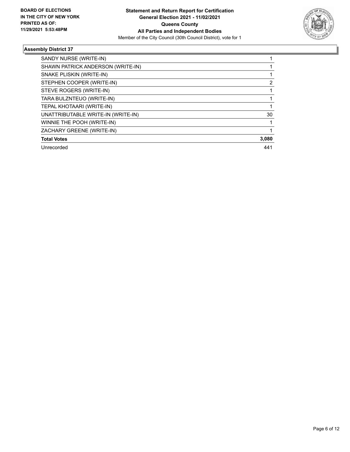

| SANDY NURSE (WRITE-IN)             |       |
|------------------------------------|-------|
| SHAWN PATRICK ANDERSON (WRITE-IN)  |       |
| SNAKE PLISKIN (WRITE-IN)           |       |
| STEPHEN COOPER (WRITE-IN)          | 2     |
| STEVE ROGERS (WRITE-IN)            |       |
| TARA BULZNTEUO (WRITE-IN)          |       |
| TEPAL KHOTAARI (WRITE-IN)          |       |
| UNATTRIBUTABLE WRITE-IN (WRITE-IN) | 30    |
| WINNIE THE POOH (WRITE-IN)         |       |
| ZACHARY GREENE (WRITE-IN)          |       |
| <b>Total Votes</b>                 | 3,080 |
| Unrecorded                         | 441   |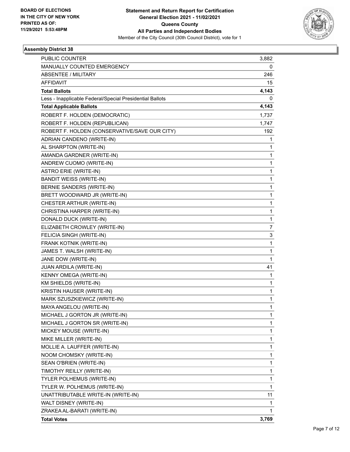

| <b>PUBLIC COUNTER</b>                                    | 3,882        |
|----------------------------------------------------------|--------------|
| MANUALLY COUNTED EMERGENCY                               | 0            |
| <b>ABSENTEE / MILITARY</b>                               | 246          |
| <b>AFFIDAVIT</b>                                         | 15           |
| <b>Total Ballots</b>                                     | 4,143        |
| Less - Inapplicable Federal/Special Presidential Ballots | 0            |
| <b>Total Applicable Ballots</b>                          | 4,143        |
| ROBERT F. HOLDEN (DEMOCRATIC)                            | 1,737        |
| ROBERT F. HOLDEN (REPUBLICAN)                            | 1,747        |
| ROBERT F. HOLDEN (CONSERVATIVE/SAVE OUR CITY)            | 192          |
| ADRIAN CANDENO (WRITE-IN)                                | 1            |
| AL SHARPTON (WRITE-IN)                                   | 1            |
| AMANDA GARDNER (WRITE-IN)                                | $\mathbf{1}$ |
| ANDREW CUOMO (WRITE-IN)                                  | 1            |
| <b>ASTRO ERIE (WRITE-IN)</b>                             | 1            |
| <b>BANDIT WEISS (WRITE-IN)</b>                           | 1            |
| BERNIE SANDERS (WRITE-IN)                                | 1            |
| BRETT WOODWARD JR (WRITE-IN)                             | 1            |
| CHESTER ARTHUR (WRITE-IN)                                | $\mathbf{1}$ |
| CHRISTINA HARPER (WRITE-IN)                              | 1            |
| DONALD DUCK (WRITE-IN)                                   | $\mathbf{1}$ |
| ELIZABETH CROWLEY (WRITE-IN)                             | 7            |
| FELICIA SINGH (WRITE-IN)                                 | 3            |
| FRANK KOTNIK (WRITE-IN)                                  | $\mathbf{1}$ |
| JAMES T. WALSH (WRITE-IN)                                | $\mathbf 1$  |
| JANE DOW (WRITE-IN)                                      | $\mathbf{1}$ |
| JUAN ARDILA (WRITE-IN)                                   | 41           |
| KENNY OMEGA (WRITE-IN)                                   | 1            |
| KM SHIELDS (WRITE-IN)                                    | 1            |
| KRISTIN HAUSER (WRITE-IN)                                | 1            |
| MARK SZUSZKIEWICZ (WRITE-IN)                             | $\mathbf{1}$ |
| MAYA ANGELOU (WRITE-IN)                                  | 1            |
| MICHAEL J GORTON JR (WRITE-IN)                           | 1            |
| MICHAEL J GORTON SR (WRITE-IN)                           | 1            |
| MICKEY MOUSE (WRITE-IN)                                  | 1            |
| MIKE MILLER (WRITE-IN)                                   | 1            |
| MOLLIE A. LAUFFER (WRITE-IN)                             | 1            |
| NOOM CHOMSKY (WRITE-IN)                                  | 1            |
| SEAN O'BRIEN (WRITE-IN)                                  | 1            |
| TIMOTHY REILLY (WRITE-IN)                                | $\mathbf{1}$ |
| TYLER POLHEMUS (WRITE-IN)                                | 1            |
| TYLER W. POLHEMUS (WRITE-IN)                             | $\mathbf{1}$ |
| UNATTRIBUTABLE WRITE-IN (WRITE-IN)                       | 11           |
| WALT DISNEY (WRITE-IN)                                   | 1            |
| ZRAKEA AL-BARATI (WRITE-IN)                              | 1            |
| <b>Total Votes</b>                                       | 3,769        |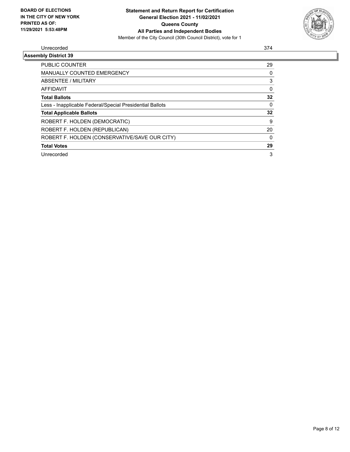

#### Unrecorded 374

| <b>Assembly District 39</b>                              |    |
|----------------------------------------------------------|----|
| PUBLIC COUNTER                                           | 29 |
| <b>MANUALLY COUNTED EMERGENCY</b>                        | 0  |
| ABSENTEE / MILITARY                                      | 3  |
| AFFIDAVIT                                                | 0  |
| <b>Total Ballots</b>                                     | 32 |
| Less - Inapplicable Federal/Special Presidential Ballots | 0  |
| <b>Total Applicable Ballots</b>                          | 32 |
| ROBERT F. HOLDEN (DEMOCRATIC)                            | 9  |
| ROBERT F. HOLDEN (REPUBLICAN)                            | 20 |
| ROBERT F. HOLDEN (CONSERVATIVE/SAVE OUR CITY)            | 0  |
| <b>Total Votes</b>                                       | 29 |
| Unrecorded                                               | 3  |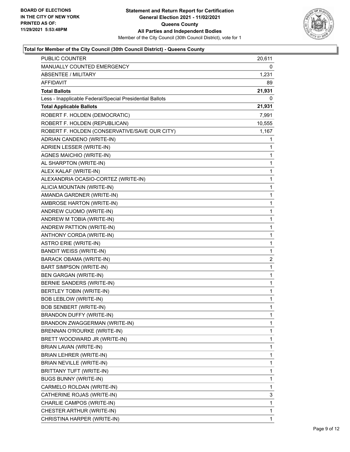

| <b>PUBLIC COUNTER</b>                                    | 20,611                  |
|----------------------------------------------------------|-------------------------|
| MANUALLY COUNTED EMERGENCY                               | 0                       |
| <b>ABSENTEE / MILITARY</b>                               | 1,231                   |
| AFFIDAVIT                                                | 89                      |
| <b>Total Ballots</b>                                     | 21,931                  |
| Less - Inapplicable Federal/Special Presidential Ballots | 0                       |
| <b>Total Applicable Ballots</b>                          | 21,931                  |
| ROBERT F. HOLDEN (DEMOCRATIC)                            | 7,991                   |
| ROBERT F. HOLDEN (REPUBLICAN)                            | 10,555                  |
| ROBERT F. HOLDEN (CONSERVATIVE/SAVE OUR CITY)            | 1,167                   |
| ADRIAN CANDENO (WRITE-IN)                                | 1                       |
| ADRIEN LESSER (WRITE-IN)                                 | 1                       |
| <b>AGNES MAICHIO (WRITE-IN)</b>                          | 1                       |
| AL SHARPTON (WRITE-IN)                                   | 1                       |
| ALEX KALAF (WRITE-IN)                                    | 1                       |
| ALEXANDRIA OCASIO-CORTEZ (WRITE-IN)                      | 1                       |
| ALICIA MOUNTAIN (WRITE-IN)                               | 1                       |
| AMANDA GARDNER (WRITE-IN)                                | 1                       |
| AMBROSE HARTON (WRITE-IN)                                | $\mathbf{1}$            |
| ANDREW CUOMO (WRITE-IN)                                  | 1                       |
| ANDREW M TOBIA (WRITE-IN)                                | 1                       |
| ANDREW PATTION (WRITE-IN)                                | 1                       |
| ANTHONY CORDA (WRITE-IN)                                 | 1                       |
| <b>ASTRO ERIE (WRITE-IN)</b>                             | 1                       |
| <b>BANDIT WEISS (WRITE-IN)</b>                           | 1                       |
| BARACK OBAMA (WRITE-IN)                                  | $\overline{\mathbf{c}}$ |
| BART SIMPSON (WRITE-IN)                                  | 1                       |
| <b>BEN GARGAN (WRITE-IN)</b>                             | 1                       |
| BERNIE SANDERS (WRITE-IN)                                | 1                       |
| BERTLEY TOBIN (WRITE-IN)                                 | 1                       |
| <b>BOB LEBLOW (WRITE-IN)</b>                             | 1                       |
| <b>BOB SENBERT (WRITE-IN)</b>                            | $\mathbf{1}$            |
| BRANDON DUFFY (WRITE-IN)                                 | 1                       |
| BRANDON ZWAGGERMAN (WRITE-IN)                            | 1                       |
| BRENNAN O'ROURKE (WRITE-IN)                              | 1                       |
| BRETT WOODWARD JR (WRITE-IN)                             | 1                       |
| BRIAN LAVAN (WRITE-IN)                                   | 1                       |
| BRIAN LEHRER (WRITE-IN)                                  | 1                       |
| <b>BRIAN NEVILLE (WRITE-IN)</b>                          | 1                       |
| BRITTANY TUFT (WRITE-IN)                                 | 1                       |
| <b>BUGS BUNNY (WRITE-IN)</b>                             | 1                       |
| CARMELO ROLDAN (WRITE-IN)                                | 1                       |
| CATHERINE ROJAS (WRITE-IN)                               | 3                       |
| CHARLIE CAMPOS (WRITE-IN)                                | 1                       |
| CHESTER ARTHUR (WRITE-IN)                                | 1                       |
| CHRISTINA HARPER (WRITE-IN)                              | 1                       |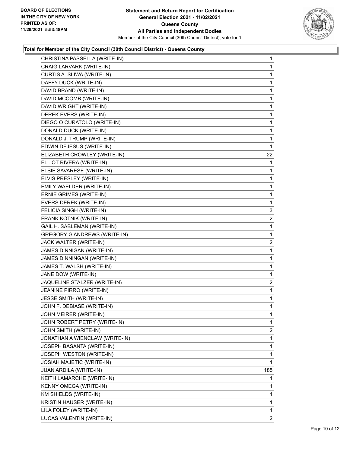

| CHRISTINA PASSELLA (WRITE-IN)       | $\mathbf{1}$   |
|-------------------------------------|----------------|
| CRAIG LARVARK (WRITE-IN)            | 1.             |
| CURTIS A. SLIWA (WRITE-IN)          | 1              |
| DAFFY DUCK (WRITE-IN)               | 1              |
| DAVID BRAND (WRITE-IN)              | 1              |
| DAVID MCCOMB (WRITE-IN)             | 1              |
| DAVID WRIGHT (WRITE-IN)             | 1              |
| DEREK EVERS (WRITE-IN)              | 1              |
| DIEGO O CURATOLO (WRITE-IN)         | 1              |
| DONALD DUCK (WRITE-IN)              | 1              |
| DONALD J. TRUMP (WRITE-IN)          | 1              |
| EDWIN DEJESUS (WRITE-IN)            | 1              |
| ELIZABETH CROWLEY (WRITE-IN)        | 22             |
| ELLIOT RIVERA (WRITE-IN)            | 1              |
| ELSIE SAVARESE (WRITE-IN)           | 1              |
| ELVIS PRESLEY (WRITE-IN)            | 1              |
| EMILY WAELDER (WRITE-IN)            | 1              |
| ERNIE GRIMES (WRITE-IN)             | 1              |
| EVERS DEREK (WRITE-IN)              | $\mathbf 1$    |
| FELICIA SINGH (WRITE-IN)            | 3              |
| FRANK KOTNIK (WRITE-IN)             | $\overline{2}$ |
| GAIL H. SABLEMAN (WRITE-IN)         | 1              |
| <b>GREGORY G ANDREWS (WRITE-IN)</b> | 1              |
| JACK WALTER (WRITE-IN)              | $\overline{2}$ |
| JAMES DINNIGAN (WRITE-IN)           | 1              |
| JAMES DINNINGAN (WRITE-IN)          | 1              |
| JAMES T. WALSH (WRITE-IN)           | 1              |
| JANE DOW (WRITE-IN)                 | 1              |
| JAQUELINE STALZER (WRITE-IN)        | 2              |
| JEANINE PIRRO (WRITE-IN)            | $\mathbf{1}$   |
| JESSE SMITH (WRITE-IN)              | 1              |
| JOHN F. DEBIASE (WRITE-IN)          | 1              |
| JOHN MEIRER (WRITE-IN)              | 1              |
| JOHN ROBERT PETRY (WRITE-IN)        | 1              |
| JOHN SMITH (WRITE-IN)               | 2              |
| JONATHAN A WIENCLAW (WRITE-IN)      | 1              |
| JOSEPH BASANTA (WRITE-IN)           | 1              |
| JOSEPH WESTON (WRITE-IN)            | 1              |
| JOSIAH MAJETIC (WRITE-IN)           | 1              |
| <b>JUAN ARDILA (WRITE-IN)</b>       | 185            |
| KEITH LAMARCHE (WRITE-IN)           | 1              |
| KENNY OMEGA (WRITE-IN)              | 1              |
| KM SHIELDS (WRITE-IN)               | 1              |
| KRISTIN HAUSER (WRITE-IN)           | 1              |
| LILA FOLEY (WRITE-IN)               | 1              |
| LUCAS VALENTIN (WRITE-IN)           | 2              |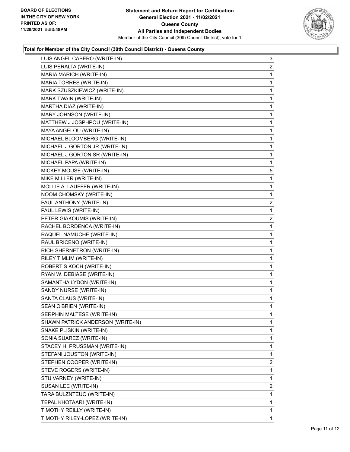

| LUIS ANGEL CABERO (WRITE-IN)      | 3              |
|-----------------------------------|----------------|
| LUIS PERALTA (WRITE-IN)           | $\overline{2}$ |
| MARIA MARICH (WRITE-IN)           | 1              |
| MARIA TORRES (WRITE-IN)           | 1              |
| MARK SZUSZKIEWICZ (WRITE-IN)      | 1              |
| MARK TWAIN (WRITE-IN)             | 1              |
| MARTHA DIAZ (WRITE-IN)            | 1              |
| MARY JOHNSON (WRITE-IN)           | 1              |
| MATTHEW J JOSPHPOU (WRITE-IN)     | 1              |
| MAYA ANGELOU (WRITE-IN)           | 1              |
| MICHAEL BLOOMBERG (WRITE-IN)      | 1              |
| MICHAEL J GORTON JR (WRITE-IN)    | 1              |
| MICHAEL J GORTON SR (WRITE-IN)    | 1              |
| MICHAEL PAPA (WRITE-IN)           | 1              |
| MICKEY MOUSE (WRITE-IN)           | 5              |
| MIKE MILLER (WRITE-IN)            | 1              |
| MOLLIE A. LAUFFER (WRITE-IN)      | 1              |
| NOOM CHOMSKY (WRITE-IN)           | 1              |
| PAUL ANTHONY (WRITE-IN)           | $\overline{2}$ |
| PAUL LEWIS (WRITE-IN)             | 1              |
| PETER GIAKOUMIS (WRITE-IN)        | $\overline{2}$ |
| RACHEL BORDENCA (WRITE-IN)        | 1              |
| RAQUEL NAMUCHE (WRITE-IN)         | 1              |
| RAUL BRICENO (WRITE-IN)           | 1              |
| RICH SHERNETRON (WRITE-IN)        | 1              |
| RILEY TIMLIM (WRITE-IN)           | 1              |
| ROBERT S KOCH (WRITE-IN)          | 1              |
| RYAN W. DEBIASE (WRITE-IN)        | 1              |
| SAMANTHA LYDON (WRITE-IN)         | 1              |
| SANDY NURSE (WRITE-IN)            | 1              |
| SANTA CLAUS (WRITE-IN)            | 1              |
| SEAN O'BRIEN (WRITE-IN)           | 1              |
| SERPHIN MALTESE (WRITE-IN)        | 1              |
| SHAWN PATRICK ANDERSON (WRITE-IN) | 1              |
| SNAKE PLISKIN (WRITE-IN)          | 1              |
| SONIA SUAREZ (WRITE-IN)           | 1              |
| STACEY H. PRUSSMAN (WRITE-IN)     | 1              |
| STEFANI JOUSTON (WRITE-IN)        | 1              |
| STEPHEN COOPER (WRITE-IN)         | $\overline{2}$ |
| STEVE ROGERS (WRITE-IN)           | 1              |
| STU VARNEY (WRITE-IN)             | 1              |
| SUSAN LEE (WRITE-IN)              | $\overline{2}$ |
| TARA BULZNTEUO (WRITE-IN)         | 1              |
| TEPAL KHOTAARI (WRITE-IN)         | 1              |
| TIMOTHY REILLY (WRITE-IN)         | 1              |
| TIMOTHY RILEY-LOPEZ (WRITE-IN)    | 1              |